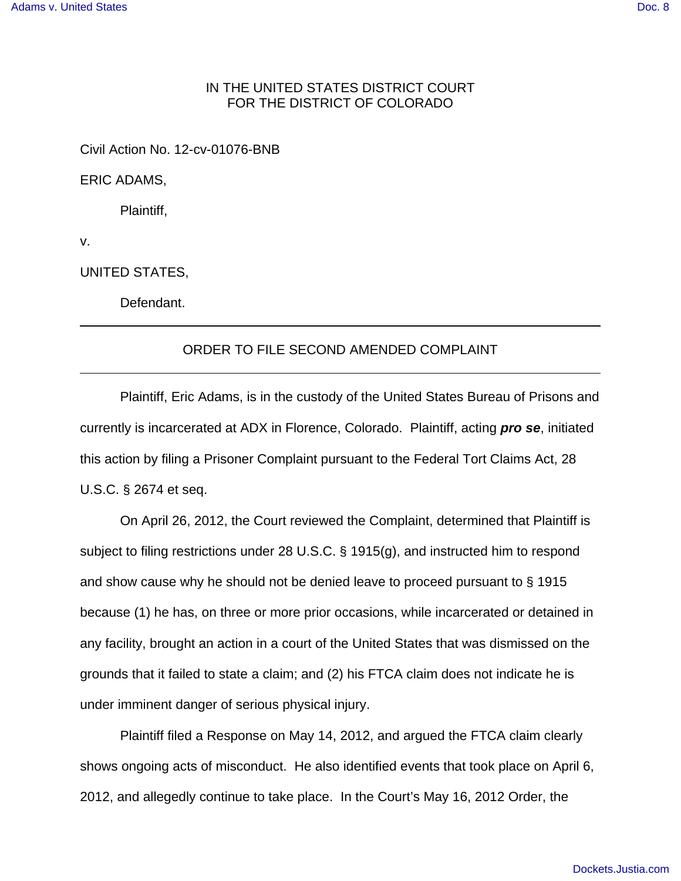## IN THE UNITED STATES DISTRICT COURT FOR THE DISTRICT OF COLORADO

Civil Action No. 12-cv-01076-BNB

ERIC ADAMS,

Plaintiff,

v.

UNITED STATES,

Defendant.

## ORDER TO FILE SECOND AMENDED COMPLAINT

Plaintiff, Eric Adams, is in the custody of the United States Bureau of Prisons and currently is incarcerated at ADX in Florence, Colorado. Plaintiff, acting **pro se**, initiated this action by filing a Prisoner Complaint pursuant to the Federal Tort Claims Act, 28 U.S.C. § 2674 et seq.

On April 26, 2012, the Court reviewed the Complaint, determined that Plaintiff is subject to filing restrictions under 28 U.S.C. § 1915(g), and instructed him to respond and show cause why he should not be denied leave to proceed pursuant to § 1915 because (1) he has, on three or more prior occasions, while incarcerated or detained in any facility, brought an action in a court of the United States that was dismissed on the grounds that it failed to state a claim; and (2) his FTCA claim does not indicate he is under imminent danger of serious physical injury.

Plaintiff filed a Response on May 14, 2012, and argued the FTCA claim clearly shows ongoing acts of misconduct. He also identified events that took place on April 6, 2012, and allegedly continue to take place. In the Court's May 16, 2012 Order, the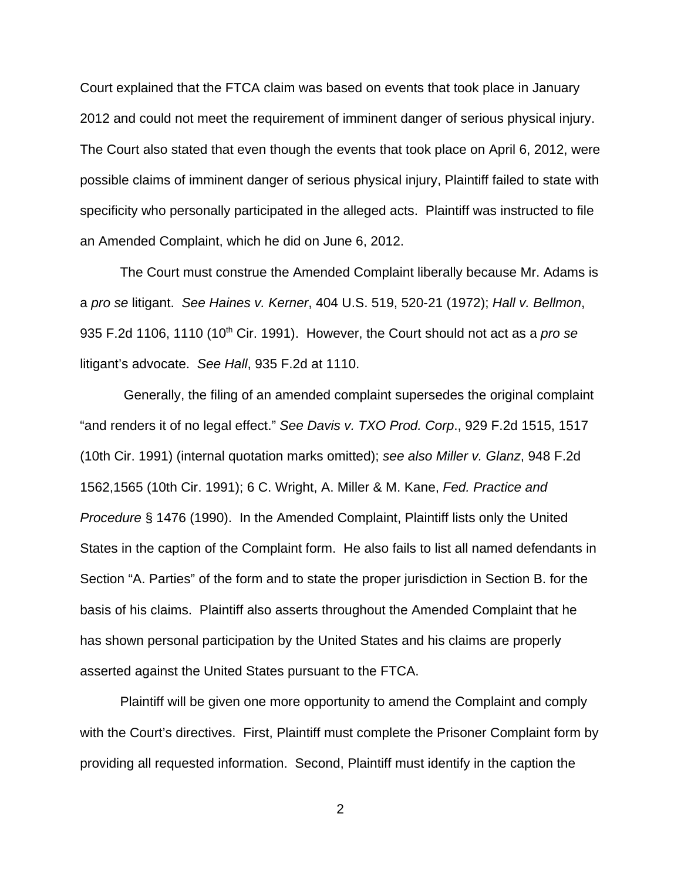Court explained that the FTCA claim was based on events that took place in January 2012 and could not meet the requirement of imminent danger of serious physical injury. The Court also stated that even though the events that took place on April 6, 2012, were possible claims of imminent danger of serious physical injury, Plaintiff failed to state with specificity who personally participated in the alleged acts. Plaintiff was instructed to file an Amended Complaint, which he did on June 6, 2012.

The Court must construe the Amended Complaint liberally because Mr. Adams is a pro se litigant. See Haines v. Kerner, 404 U.S. 519, 520-21 (1972); Hall v. Bellmon, 935 F.2d 1106, 1110 (10<sup>th</sup> Cir. 1991). However, the Court should not act as a *pro se* litigant's advocate. See Hall, 935 F.2d at 1110.

 Generally, the filing of an amended complaint supersedes the original complaint "and renders it of no legal effect." See Davis v. TXO Prod. Corp., 929 F.2d 1515, 1517 (10th Cir. 1991) (internal quotation marks omitted); see also Miller v. Glanz, 948 F.2d 1562,1565 (10th Cir. 1991); 6 C. Wright, A. Miller & M. Kane, Fed. Practice and Procedure § 1476 (1990). In the Amended Complaint, Plaintiff lists only the United States in the caption of the Complaint form. He also fails to list all named defendants in Section "A. Parties" of the form and to state the proper jurisdiction in Section B. for the basis of his claims. Plaintiff also asserts throughout the Amended Complaint that he has shown personal participation by the United States and his claims are properly asserted against the United States pursuant to the FTCA.

Plaintiff will be given one more opportunity to amend the Complaint and comply with the Court's directives. First, Plaintiff must complete the Prisoner Complaint form by providing all requested information. Second, Plaintiff must identify in the caption the

2